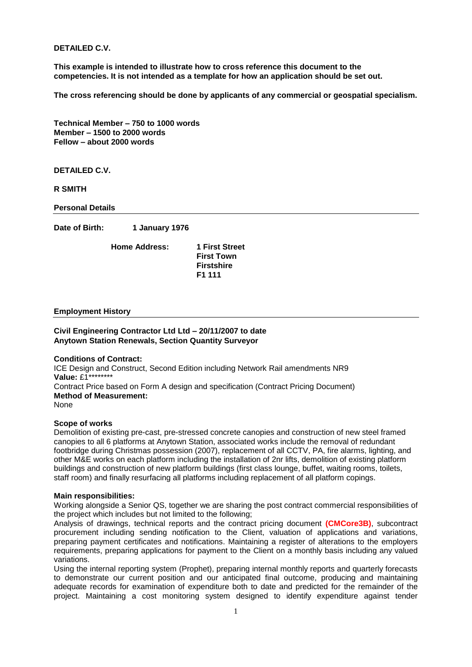**DETAILED C.V.**

**This example is intended to illustrate how to cross reference this document to the competencies. It is not intended as a template for how an application should be set out.**

**The cross referencing should be done by applicants of any commercial or geospatial specialism.**

**Technical Member – 750 to 1000 words Member – 1500 to 2000 words Fellow – about 2000 words**

**DETAILED C.V.**

**R SMITH**

**Personal Details**

**Date of Birth: 1 January 1976**

**Home Address: 1 First Street**

**First Town Firstshire F1 111**

#### **Employment History**

#### **Civil Engineering Contractor Ltd Ltd – 20/11/2007 to date Anytown Station Renewals, Section Quantity Surveyor**

## **Conditions of Contract:**

ICE Design and Construct, Second Edition including Network Rail amendments NR9 **Value:** £1\*\*\*\*\*\*\*\* Contract Price based on Form A design and specification (Contract Pricing Document) **Method of Measurement:** None

#### **Scope of works**

Demolition of existing pre-cast, pre-stressed concrete canopies and construction of new steel framed canopies to all 6 platforms at Anytown Station, associated works include the removal of redundant footbridge during Christmas possession (2007), replacement of all CCTV, PA, fire alarms, lighting, and other M&E works on each platform including the installation of 2nr lifts, demolition of existing platform buildings and construction of new platform buildings (first class lounge, buffet, waiting rooms, toilets, staff room) and finally resurfacing all platforms including replacement of all platform copings.

## **Main responsibilities:**

Working alongside a Senior QS, together we are sharing the post contract commercial responsibilities of the project which includes but not limited to the following;

Analysis of drawings, technical reports and the contract pricing document **(CMCore3B)**, subcontract procurement including sending notification to the Client, valuation of applications and variations, preparing payment certificates and notifications. Maintaining a register of alterations to the employers requirements, preparing applications for payment to the Client on a monthly basis including any valued variations.

Using the internal reporting system (Prophet), preparing internal monthly reports and quarterly forecasts to demonstrate our current position and our anticipated final outcome, producing and maintaining adequate records for examination of expenditure both to date and predicted for the remainder of the project. Maintaining a cost monitoring system designed to identify expenditure against tender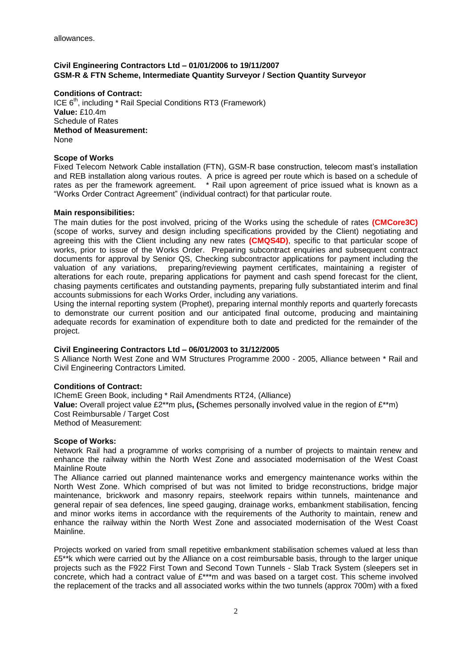# **Civil Engineering Contractors Ltd – 01/01/2006 to 19/11/2007 GSM-R & FTN Scheme, Intermediate Quantity Surveyor / Section Quantity Surveyor**

**Conditions of Contract:**  ICE  $6<sup>th</sup>$ , including  $*$  Rail Special Conditions RT3 (Framework) **Value:** £10.4m Schedule of Rates **Method of Measurement:** None

## **Scope of Works**

Fixed Telecom Network Cable installation (FTN), GSM-R base construction, telecom mast's installation and REB installation along various routes. A price is agreed per route which is based on a schedule of rates as per the framework agreement. \* Rail upon agreement of price issued what is known as a "Works Order Contract Agreement" (individual contract) for that particular route.

## **Main responsibilities:**

The main duties for the post involved, pricing of the Works using the schedule of rates **(CMCore3C)** (scope of works, survey and design including specifications provided by the Client) negotiating and agreeing this with the Client including any new rates **(CMQS4D)**, specific to that particular scope of works, prior to issue of the Works Order. Preparing subcontract enquiries and subsequent contract documents for approval by Senior QS, Checking subcontractor applications for payment including the valuation of any variations, preparing/reviewing payment certificates, maintaining a register of alterations for each route, preparing applications for payment and cash spend forecast for the client, chasing payments certificates and outstanding payments, preparing fully substantiated interim and final accounts submissions for each Works Order, including any variations.

Using the internal reporting system (Prophet), preparing internal monthly reports and quarterly forecasts to demonstrate our current position and our anticipated final outcome, producing and maintaining adequate records for examination of expenditure both to date and predicted for the remainder of the project.

## **Civil Engineering Contractors Ltd – 06/01/2003 to 31/12/2005**

S Alliance North West Zone and WM Structures Programme 2000 - 2005, Alliance between \* Rail and Civil Engineering Contractors Limited.

## **Conditions of Contract:**

IChemE Green Book, including \* Rail Amendments RT24, (Alliance) **Value:** Overall project value £2\*\*m plus**, (**Schemes personally involved value in the region of £\*\*m) Cost Reimbursable / Target Cost Method of Measurement:

## **Scope of Works:**

Network Rail had a programme of works comprising of a number of projects to maintain renew and enhance the railway within the North West Zone and associated modernisation of the West Coast Mainline Route

The Alliance carried out planned maintenance works and emergency maintenance works within the North West Zone. Which comprised of but was not limited to bridge reconstructions, bridge major maintenance, brickwork and masonry repairs, steelwork repairs within tunnels, maintenance and general repair of sea defences, line speed gauging, drainage works, embankment stabilisation, fencing and minor works items in accordance with the requirements of the Authority to maintain, renew and enhance the railway within the North West Zone and associated modernisation of the West Coast Mainline.

Projects worked on varied from small repetitive embankment stabilisation schemes valued at less than £5\*\*k which were carried out by the Alliance on a cost reimbursable basis, through to the larger unique projects such as the F922 First Town and Second Town Tunnels - Slab Track System (sleepers set in concrete, which had a contract value of £\*\*\*m and was based on a target cost. This scheme involved the replacement of the tracks and all associated works within the two tunnels (approx 700m) with a fixed